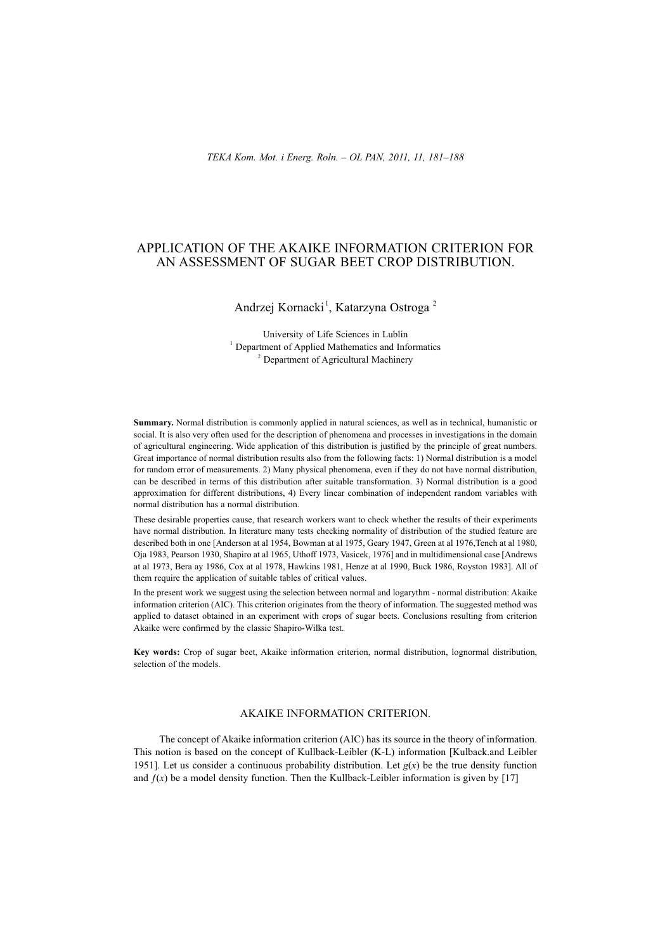## APPLICATION OF THE AKAIKE INFORMATION CRITERION FOR AN ASSESSMENT OF SUGAR BEET CROP DISTRIBUTION.

# Andrzej Kornacki<sup>1</sup>, Katarzyna Ostroga<sup>2</sup>

University of Life Sciences in Lublin <sup>1</sup> Department of Applied Mathematics and Informatics <sup>2</sup> Department of Agricultural Machinery

**Summary.** Normal distribution is commonly applied in natural sciences, as well as in technical, humanistic or social. It is also very often used for the description of phenomena and processes in investigations in the domain of agricultural engineering. Wide application of this distribution is justified by the principle of great numbers. Great importance of normal distribution results also from the following facts: 1) Normal distribution is a model for random error of measurements. 2) Many physical phenomena, even if they do not have normal distribution, can be described in terms of this distribution after suitable transformation. 3) Normal distribution is a good approximation for different distributions, 4) Every linear combination of independent random variables with normal distribution has a normal distribution.

These desirable properties cause, that research workers want to check whether the results of their experiments have normal distribution. In literature many tests checking normality of distribution of the studied feature are described both in one [Anderson at al 1954, Bowman at al 1975, Geary 1947, Green at al 1976,Tench at al 1980, Oja 1983, Pearson 1930, Shapiro at al 1965, Uthoff 1973, Vasicek, 1976] and in multidimensional case [Andrews at al 1973, Bera ay 1986, Cox at al 1978, Hawkins 1981, Henze at al 1990, Buck 1986, Royston 1983]. All of them require the application of suitable tables of critical values.

In the present work we suggest using the selection between normal and logarythm - normal distribution: Akaike information criterion (AIC). This criterion originates from the theory of information. The suggested method was applied to dataset obtained in an experiment with crops of sugar beets. Conclusions resulting from criterion Akaike were confirmed by the classic Shapiro-Wilka test.

**Key words:** Crop of sugar beet, Akaike information criterion, normal distribution, lognormal distribution, selection of the models.

#### AKAIKE INFORMATION CRITERION.

The concept of Akaike information criterion (AIC) has its source in the theory of information. This notion is based on the concept of Kullback-Leibler (K-L) information [Kulback.and Leibler 1951]. Let us consider a continuous probability distribution. Let  $g(x)$  be the true density function and  $f(x)$  be a model density function. Then the Kullback-Leibler information is given by [17]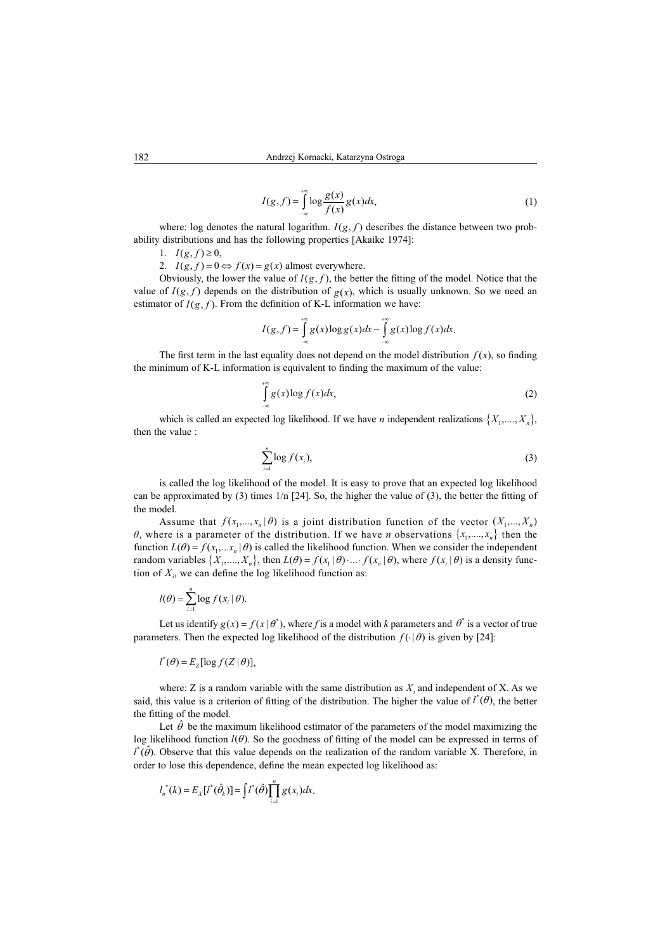$$
I(g, f) = \int_{-\infty}^{+\infty} \log \frac{g(x)}{f(x)} g(x) dx,
$$
 (1)

where: log denotes the natural logarithm.  $I(g, f)$  describes the distance between two probability distributions and has the following properties [Akaike 1974]:

1.  $I(g, f) \geq 0$ ,

2.  $I(g, f) = 0 \Leftrightarrow f(x) = g(x)$  almost everywhere.

Obviously, the lower the value of  $I(g, f)$ , the better the fitting of the model. Notice that the value of  $I(g, f)$  depends on the distribution of  $g(x)$ , which is usually unknown. So we need an estimator of  $I(g, f)$ . From the definition of K-L information we have:

$$
I(g, f) = \int_{-\infty}^{+\infty} g(x) \log g(x) dx - \int_{-\infty}^{+\infty} g(x) \log f(x) dx.
$$

The first term in the last equality does not depend on the model distribution  $f(x)$ , so finding the minimum of K-L information is equivalent to finding the maximum of the value:

$$
\int_{-\infty}^{+\infty} g(x) \log f(x) dx, \tag{2}
$$

which is called an expected log likelihood. If we have *n* independent realizations  $\{X_1, \ldots, X_n\}$ , then the value :

$$
\sum_{i=1}^n \log f(x_i),\tag{3}
$$

is called the log likelihood of the model. It is easy to prove that an expected log likelihood can be approximated by (3) times  $1/n$  [24]. So, the higher the value of (3), the better the fitting of the model.

Assume that  $f(x_1,...,x_n | \theta)$  is a joint distribution function of the vector  $(X_1,...,X_n)$  $\theta$ , where is a parameter of the distribution. If we have *n* observations  $\{x_1, \ldots, x_n\}$  then the function  $L(\theta) = f(x_1,...x_n | \theta)$  is called the likelihood function. When we consider the independent random variables  $\{X_1, ..., X_n\}$ , then  $L(\theta) = f(x_1 | \theta) \cdot ... \cdot f(x_n | \theta)$ , where  $f(x_i | \theta)$  is a density function of  $X_i$ , we can define the log likelihood function as:

$$
l(\theta) = \sum_{i=1}^{n} \log f(x_i | \theta).
$$

Let us identify  $g(x) = f(x | \theta^*)$ , where *f* is a model with *k* parameters and  $\theta^*$  is a vector of true parameters. Then the expected log likelihood of the distribution  $f(\cdot|\theta)$  is given by [24]:

$$
l^*(\theta) = E_z[\log f(Z | \theta)],
$$

where: Z is a random variable with the same distribution as  $X_i$  and independent of X. As we said, this value is a criterion of fitting of the distribution. The higher the value of  $l^*(\theta)$ , the better the fitting of the model.

Let  $\hat{\theta}$  be the maximum likelihood estimator of the parameters of the model maximizing the log likelihood function  $l(\theta)$ . So the goodness of fitting of the model can be expressed in terms of  $l^*(\hat{\theta})$ . Observe that this value depends on the realization of the random variable X. Therefore, in order to lose this dependence, define the mean expected log likelihood as:

$$
l_n^*(k) = E_X[l^*(\hat{\theta}_k)] = \int l^*(\hat{\theta}) \prod_{i=1}^n g(x_i) dx.
$$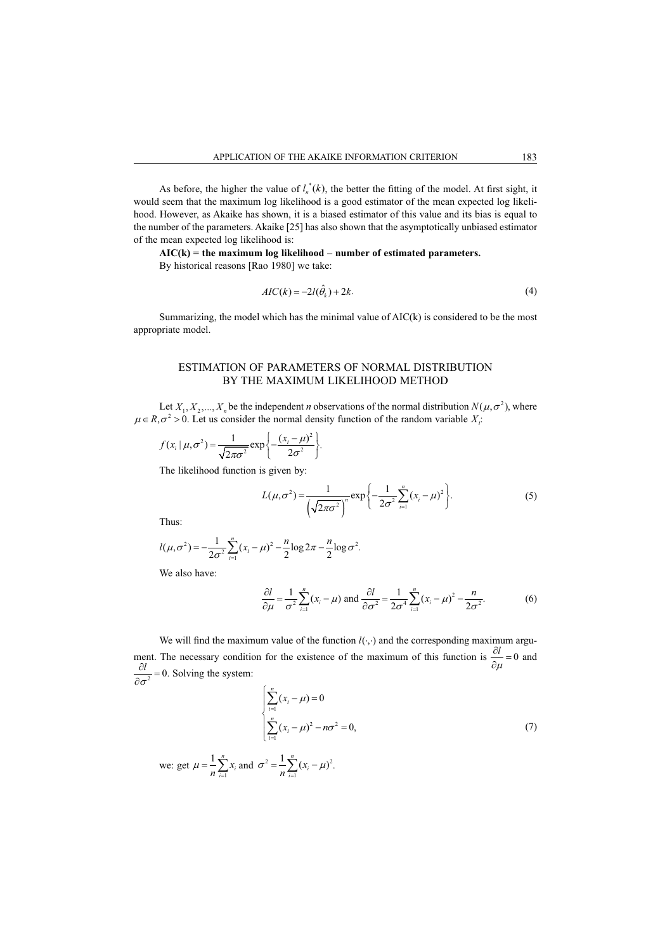As before, the higher the value of  $l_n^*(k)$ , the better the fitting of the model. At first sight, it would seem that the maximum log likelihood is a good estimator of the mean expected log likelihood. However, as Akaike has shown, it is a biased estimator of this value and its bias is equal to the number of the parameters. Akaike [25] has also shown that the asymptotically unbiased estimator of the mean expected log likelihood is:

**AIC(k) = the maximum log likelihood – number of estimated parameters.**

By historical reasons [Rao 1980] we take:

$$
AIC(k) = -2l(\hat{\theta}_k) + 2k.
$$
\n<sup>(4)</sup>

Summarizing, the model which has the minimal value of  $AIC(k)$  is considered to be the most appropriate model.

## ESTIMATION OF PARAMETERS OF NORMAL DISTRIBUTION BY THE MAXIMUM LIKELIHOOD METHOD

Let  $X_1, X_2, ..., X_n$  be the independent *n* observations of the normal distribution  $N(\mu, \sigma^2)$ , where  $\mu \in R, \sigma^2 > 0$ . Let us consider the normal density function of the random variable  $X_i$ :

$$
f(x_i | \mu, \sigma^2) = \frac{1}{\sqrt{2\pi\sigma^2}} \exp \left\{-\frac{(x_i - \mu)^2}{2\sigma^2}\right\}.
$$

The likelihood function is given by:

$$
L(\mu, \sigma^2) = \frac{1}{\left(\sqrt{2\pi\sigma^2}\right)^n} \exp\left\{-\frac{1}{2\sigma^2} \sum_{i=1}^n (x_i - \mu)^2\right\}.
$$
 (5)

Thus:

$$
l(\mu,\sigma^2) = -\frac{1}{2\sigma^2} \sum_{i=1}^n (x_i - \mu)^2 - \frac{n}{2} \log 2\pi - \frac{n}{2} \log \sigma^2.
$$

We also have:

$$
\frac{\partial l}{\partial \mu} = \frac{1}{\sigma^2} \sum_{i=1}^n (x_i - \mu) \text{ and } \frac{\partial l}{\partial \sigma^2} = \frac{1}{2\sigma^4} \sum_{i=1}^n (x_i - \mu)^2 - \frac{n}{2\sigma^2}.
$$
 (6)

We will find the maximum value of the function  $l(\cdot, \cdot)$  and the corresponding maximum argument. The necessary condition for the existence of the maximum of this function is  $\frac{\partial l}{\partial \mu} = 0$ *l*  $\frac{\partial u}{\partial \mu} = 0$  and  $\frac{\partial l}{\partial \sigma^2} = 0$ *l*  $\frac{\sigma^2}{\sigma^2}$  = 0. Solving the system:

.

$$
\sum_{i=1}^{n} (x_i - \mu) = 0
$$
  

$$
\sum_{i=1}^{n} (x_i - \mu)^2 - n\sigma^2 = 0,
$$
 (7)

we: get 
$$
\mu = \frac{1}{n} \sum_{i=1}^{n} x_i
$$
 and  $\sigma^2 = \frac{1}{n} \sum_{i=1}^{n} (x_i - \mu)^2$ .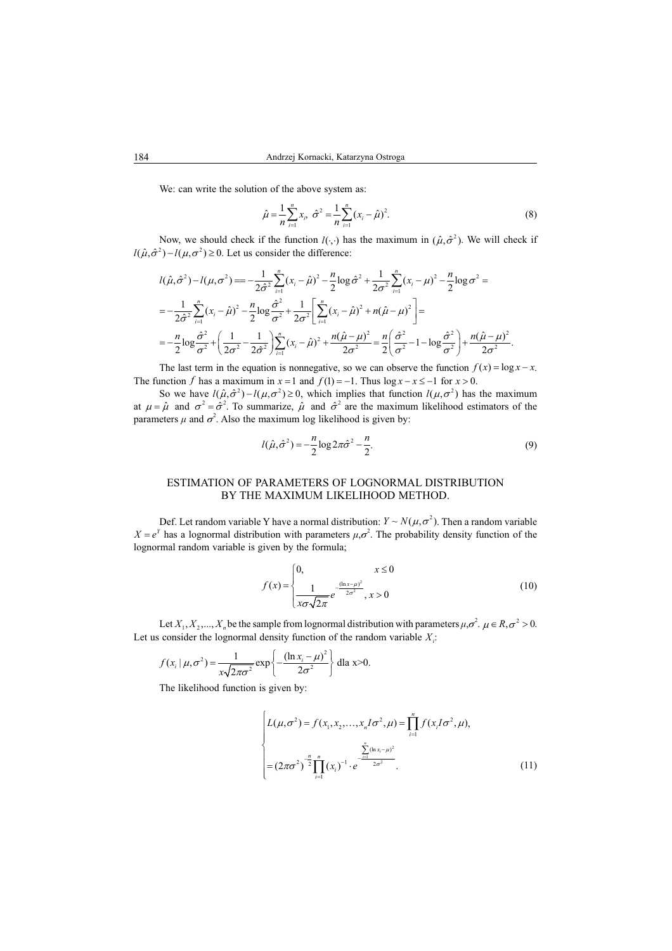We: can write the solution of the above system as:

$$
\hat{\mu} = \frac{1}{n} \sum_{i=1}^{n} x_i, \ \hat{\sigma}^2 = \frac{1}{n} \sum_{i=1}^{n} (x_i - \hat{\mu})^2.
$$
 (8)

Now, we should check if the function  $l(\cdot, \cdot)$  has the maximum in  $(\hat{\mu}, \hat{\sigma}^2)$ . We will check if  $l(\hat{\mu}, \hat{\sigma}^2) - l(\mu, \sigma^2) \ge 0$ . Let us consider the difference:

$$
l(\hat{\mu}, \hat{\sigma}^2) - l(\mu, \sigma^2) = -\frac{1}{2\hat{\sigma}^2} \sum_{i=1}^n (x_i - \hat{\mu})^2 - \frac{n}{2} \log \hat{\sigma}^2 + \frac{1}{2\sigma^2} \sum_{i=1}^n (x_i - \mu)^2 - \frac{n}{2} \log \sigma^2 =
$$
  
=  $-\frac{1}{2\hat{\sigma}^2} \sum_{i=1}^n (x_i - \hat{\mu})^2 - \frac{n}{2} \log \frac{\hat{\sigma}^2}{\sigma^2} + \frac{1}{2\sigma^2} \left[ \sum_{i=1}^n (x_i - \hat{\mu})^2 + n(\hat{\mu} - \mu)^2 \right] =$   
=  $-\frac{n}{2} \log \frac{\hat{\sigma}^2}{\sigma^2} + \left( \frac{1}{2\sigma^2} - \frac{1}{2\hat{\sigma}^2} \right) \sum_{i=1}^n (x_i - \hat{\mu})^2 + \frac{n(\hat{\mu} - \mu)^2}{2\sigma^2} = \frac{n}{2} \left( \frac{\hat{\sigma}^2}{\sigma^2} - 1 - \log \frac{\hat{\sigma}^2}{\sigma^2} \right) + \frac{n(\hat{\mu} - \mu)^2}{2\sigma^2}.$ 

The last term in the equation is nonnegative, so we can observe the function  $f(x) = \log x - x$ . The function *f* has a maximum in  $x = 1$  and  $f(1) = -1$ . Thus  $\log x - x \le -1$  for  $x > 0$ .

So we have  $l(\hat{\mu}, \hat{\sigma}^2) - l(\mu, \sigma^2) \ge 0$ , which implies that function  $l(\mu, \sigma^2)$  has the maximum at  $\mu = \hat{\mu}$  and  $\sigma^2 = \hat{\sigma}^2$ . To summarize,  $\hat{\mu}$  and  $\hat{\sigma}^2$  are the maximum likelihood estimators of the parameters  $\mu$  and  $\sigma^2$ . Also the maximum log likelihood is given by:

$$
l(\hat{\mu}, \hat{\sigma}^2) = -\frac{n}{2}\log 2\pi \hat{\sigma}^2 - \frac{n}{2}.\tag{9}
$$

## ESTIMATION OF PARAMETERS OF LOGNORMAL DISTRIBUTION BY THE MAXIMUM LIKELIHOOD METHOD.

Def. Let random variable Y have a normal distribution:  $Y \sim N(\mu, \sigma^2)$ . Then a random variable  $X = e^Y$  has a lognormal distribution with parameters  $\mu$ ,  $\sigma^2$ . The probability density function of the lognormal random variable is given by the formula;

$$
f(x) = \begin{cases} 0, & x \le 0 \\ \frac{1}{x\sigma\sqrt{2\pi}} e^{-\frac{(\ln x - \mu)^2}{2\sigma^2}}, & x > 0 \end{cases}
$$
(10)

Let  $X_1, X_2, ..., X_n$  be the sample from lognormal distribution with parameters  $\mu, \sigma^2, \mu \in R, \sigma^2 > 0$ . Let us consider the lognormal density function of the random variable  $X_i$ :

$$
f(x_i | \mu, \sigma^2) = \frac{1}{x\sqrt{2\pi\sigma^2}} \exp\left\{-\frac{(\ln x_i - \mu)^2}{2\sigma^2}\right\} \text{ dla } x > 0.
$$

The likelihood function is given by:

$$
\begin{cases}\nL(\mu,\sigma^2) = f(x_1, x_2, \dots, x_n I\sigma^2, \mu) = \prod_{i=1}^n f(x_i I\sigma^2, \mu), \\
= (2\pi\sigma^2)^{\frac{n}{2}} \prod_{i=1}^n (x_i)^{-1} \cdot e^{\frac{\sum_{i=1}^n (\ln x_i - \mu)^2}{2\sigma^2}}.\n\end{cases} (11)
$$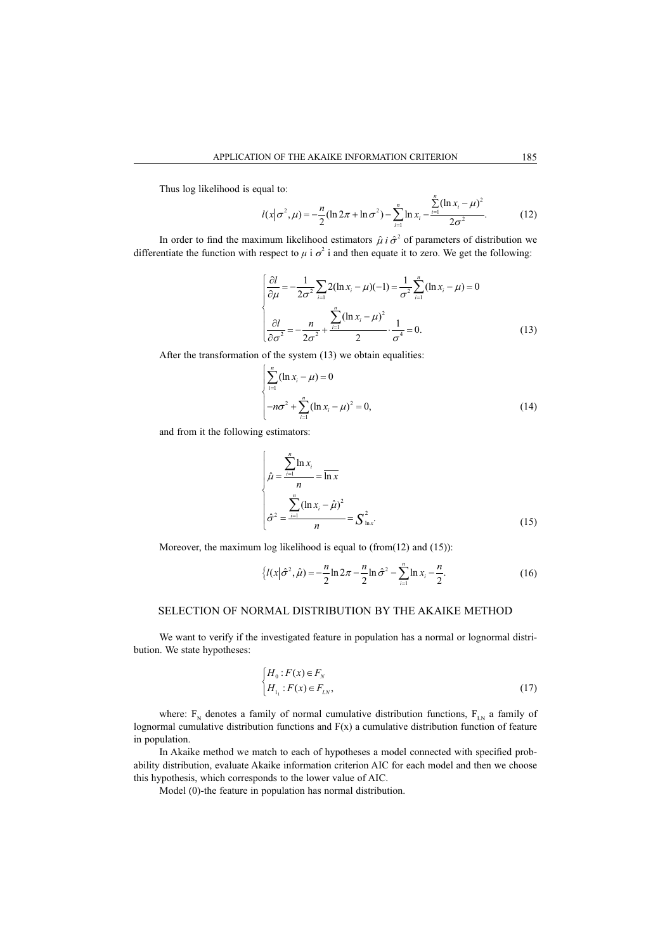Thus log likelihood is equal to:

$$
l(x|\sigma^2, \mu) = -\frac{n}{2}(\ln 2\pi + \ln \sigma^2) - \sum_{i=1}^n \ln x_i - \frac{\sum_{i=1}^n (\ln x_i - \mu)^2}{2\sigma^2}.
$$
 (12)

In order to find the maximum likelihood estimators  $\hat{\mu}$  *i*  $\hat{\sigma}^2$  of parameters of distribution we differentiate the function with respect to  $\mu$  i  $\sigma^2$  i and then equate it to zero. We get the following:

$$
\begin{cases}\n\frac{\partial l}{\partial \mu} = -\frac{1}{2\sigma^2} \sum_{i=1}^{\infty} 2(\ln x_i - \mu)(-1) = \frac{1}{\sigma^2} \sum_{i=1}^n (\ln x_i - \mu) = 0 \\
\frac{\partial l}{\partial \sigma^2} = -\frac{n}{2\sigma^2} + \frac{\sum_{i=1}^n (\ln x_i - \mu)^2}{2} \cdot \frac{1}{\sigma^4} = 0.\n\end{cases}
$$
(13)

After the transformation of the system (13) we obtain equalities:

$$
\begin{cases} \sum_{i=1}^{n} (\ln x_i - \mu) = 0 \\ -n\sigma^2 + \sum_{i=1}^{n} (\ln x_i - \mu)^2 = 0, \end{cases}
$$
 (14)

and from it the following estimators:

$$
\begin{cases}\n\hat{\mu} = \frac{\sum_{i=1}^{n} \ln x_i}{n} = \overline{\ln x} \\
\hat{\sigma}^2 = \frac{\sum_{i=1}^{n} (\ln x_i - \hat{\mu})^2}{n} = \sum_{i=1}^{n} (15)\n\end{cases}
$$

Moreover, the maximum log likelihood is equal to (from(12) and (15)):

$$
\left\{ l(x|\hat{\sigma}^2, \hat{\mu}) = -\frac{n}{2} \ln 2\pi - \frac{n}{2} \ln \hat{\sigma}^2 - \sum_{i=1}^n \ln x_i - \frac{n}{2} \right\}.
$$
 (16)

## SELECTION OF NORMAL DISTRIBUTION BY THE AKAIKE METHOD

We want to verify if the investigated feature in population has a normal or lognormal distribution. We state hypotheses:

$$
\begin{cases}\nH_0: F(x) \in F_N \\
H_{1_1}: F(x) \in F_{LN},\n\end{cases} \n\tag{17}
$$

where:  $F_N$  denotes a family of normal cumulative distribution functions,  $F_{LN}$  a family of lognormal cumulative distribution functions and  $F(x)$  a cumulative distribution function of feature in population.

In Akaike method we match to each of hypotheses a model connected with specified probability distribution, evaluate Akaike information criterion AIC for each model and then we choose this hypothesis, which corresponds to the lower value of AIC.

Model (0)-the feature in population has normal distribution.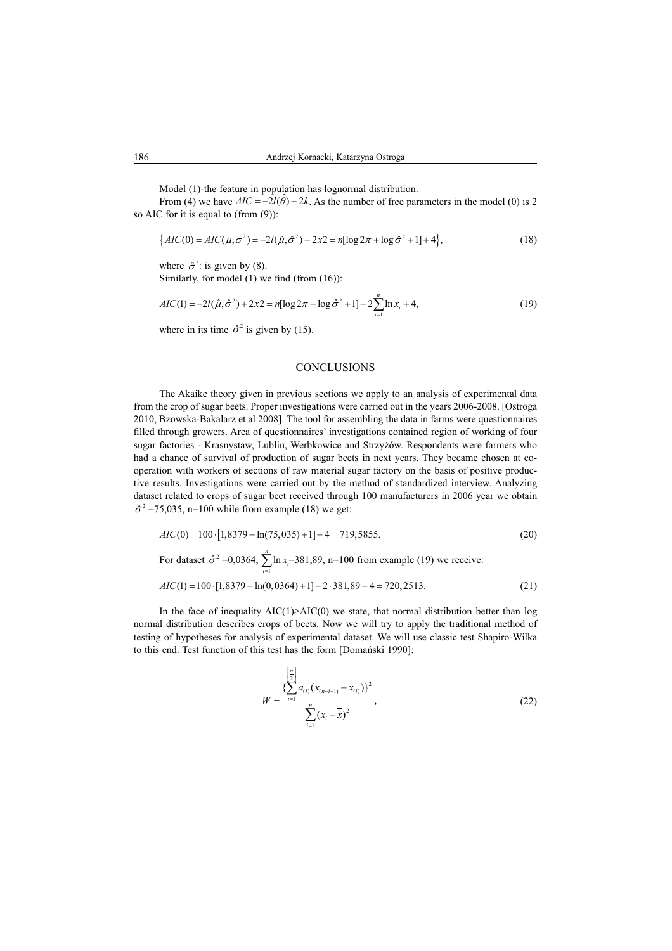Model (1)-the feature in population has lognormal distribution.

From (4) we have  $AIC = -2l(\hat{\theta}) + 2k$ . As the number of free parameters in the model (0) is 2 so AIC for it is equal to (from (9)):

$$
\{AIC(0) = AIC(\mu, \sigma^2) = -2l(\hat{\mu}, \hat{\sigma}^2) + 2x^2 = n[\log 2\pi + \log \hat{\sigma}^2 + 1] + 4\},\tag{18}
$$

where  $\hat{\sigma}^2$ : is given by (8). Similarly, for model  $(1)$  we find (from  $(16)$ ):

$$
AIC(1) = -2I(\hat{\mu}, \hat{\sigma}^2) + 2x^2 = n[\log 2\pi + \log \hat{\sigma}^2 + 1] + 2\sum_{i=1}^n \ln x_i + 4,
$$
\n(19)

where in its time  $\hat{\sigma}^2$  is given by (15).

#### **CONCLUSIONS**

The Akaike theory given in previous sections we apply to an analysis of experimental data from the crop of sugar beets. Proper investigations were carried out in the years 2006-2008. [Ostroga 2010, Bzowska-Bakalarz et al 2008]. The tool for assembling the data in farms were questionnaires filled through growers. Area of questionnaires' investigations contained region of working of four sugar factories - Krasnystaw, Lublin, Werbkowice and Strzyżów. Respondents were farmers who had a chance of survival of production of sugar beets in next years. They became chosen at cooperation with workers of sections of raw material sugar factory on the basis of positive productive results. Investigations were carried out by the method of standardized interview. Analyzing dataset related to crops of sugar beet received through 100 manufacturers in 2006 year we obtain  $\hat{\sigma}^2$  =75,035, n=100 while from example (18) we get:

$$
AIC(0) = 100 \cdot [1,8379 + \ln(75,035) + 1] + 4 = 719,5855.
$$
 (20)

For dataset 
$$
\hat{\sigma}^2 = 0.0364
$$
,  $\sum_{i=1}^{n} \ln x_i = 381,89$ , n=100 from example (19) we receive:  

$$
AIC(1) = 100 \cdot [1,8379 + \ln(0,0364) + 1] + 2 \cdot 381,89 + 4 = 720,2513.
$$
 (21)

In the face of inequality  $AIC(1) > AIC(0)$  we state, that normal distribution better than log normal distribution describes crops of beets. Now we will try to apply the traditional method of testing of hypotheses for analysis of experimental dataset. We will use classic test Shapiro-Wilka to this end. Test function of this test has the form [Domański 1990]:

$$
W = \frac{\sum_{i=1}^{\left[\frac{n}{2}\right]} a_{(i)} (x_{(n-i+1)} - x_{(i)})^2}{\sum_{i=1}^n (x_i - \overline{x})^2},
$$
\n(22)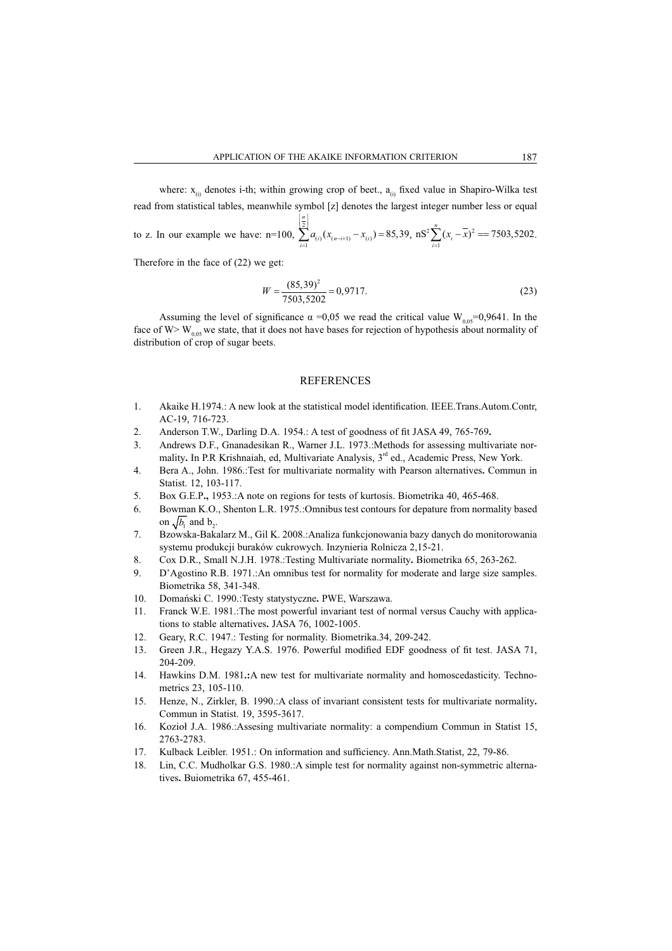where:  $x_{(i)}$  denotes i-th; within growing crop of beet.,  $a_{(i)}$  fixed value in Shapiro-Wilka test read from statistical tables, meanwhile symbol [z] denotes the largest integer number less or equal to z. In our example we have: n=100,  $\sum_{n=1}^{\infty}$  $a_{(i)} (x_{(n-i+1)} - x_{(i)}) = 85,39$  $\left\lfloor \frac{n}{2} \right\rfloor$  $\sum_{i=1}^{n} a_{(i)} (x_{(n-i+1)} - x_{(i)}) =$ *n*  $\sum_{i=1}^{\infty} a_{(i)}(x_{(n-i+1)} - x_{(i)}) = 85,39, \text{ ns}^2 \sum_{i=1}^{\infty} (x_i - x)^2$  $nS^2 \sum_{i=1}^{n} (x_i - \overline{x})^2 = 7503,5202$  $\sum_{i=1}^{n} (x_i - x)^2 = 7503,5202.$ 

Therefore in the face of (22) we get:

$$
W = \frac{(85,39)^2}{7503,5202} = 0,9717.
$$
\n(23)

Assuming the level of significance  $\alpha = 0.05$  we read the critical value W<sub>0.05</sub>=0,9641. In the face of W> W<sub>0,05</sub> we state, that it does not have bases for rejection of hypothesis about normality of distribution of crop of sugar beets.

#### REFERENCES

- 1. Akaike H.1974.: A new look at the statistical model identification. IEEE.Trans.Autom.Contr. AC-19, 716-723.
- 2. Anderson T.W., Darling D.A. 1954.: A test of goodness of fit JASA 49, 765-769.
- 3. Andrews D.F., Gnanadesikan R., Warner J.L. 1973.:Methods for assessing multivariate normality. In P.R Krishnaiah, ed, Multivariate Analysis, 3<sup>rd</sup> ed., Academic Press, New York.
- 4. Bera A., John. 1986.:Test for multivariate normality with Pearson alternatives**.** Commun in Statist. 12, 103-117.
- 5. Box G.E.P**.,** 1953.:A note on regions for tests of kurtosis. Biometrika 40, 465-468.
- 6. Bowman K.O., Shenton L.R. 1975.:Omnibus test contours for depature from normality based on  $\sqrt{b_1}$  and  $b_2$ .
- 7. Bzowska-Bakalarz M., Gil K. 2008.:Analiza funkcjonowania bazy danych do monitorowania systemu produkcji buraków cukrowych. Inzynieria Rolnicza 2,15-21.
- 8. Cox D.R., Small N.J.H. 1978.:Testing Multivariate normality**.** Biometrika 65, 263-262.
- 9. D'Agostino R.B. 1971.:An omnibus test for normality for moderate and large size samples. Biometrika 58, 341-348.
- 10. Domański C. 1990.:Testy statystyczne. PWE, Warszawa.
- 11. Franck W.E. 1981.:The most powerful invariant test of normal versus Cauchy with applications to stable alternatives**.** JASA 76, 1002-1005.
- 12. Geary, R.C. 1947.: Testing for normality. Biometrika.34, 209-242.
- 13. Green J.R., Hegazy Y.A.S. 1976. Powerful modified EDF goodness of fit test. JASA 71, 204-209.
- 14. Hawkins D.M. 1981**.:**A new test for multivariate normality and homoscedasticity. Technometrics 23, 105-110.
- 15. Henze, N., Zirkler, B. 1990.:A class of invariant consistent tests for multivariate normality**.** Commun in Statist. 19, 3595-3617.
- 16. Kozioá J.A. 1986.:Assesing multivariate normality: a compendium Commun in Statist 15, 2763-2783.
- 17. Kulback Leibler. 1951.: On information and sufficiency. Ann. Math. Statist, 22, 79-86.
- 18. Lin, C.C. Mudholkar G.S. 1980.:A simple test for normality against non-symmetric alternatives**.** Buiometrika 67, 455-461.